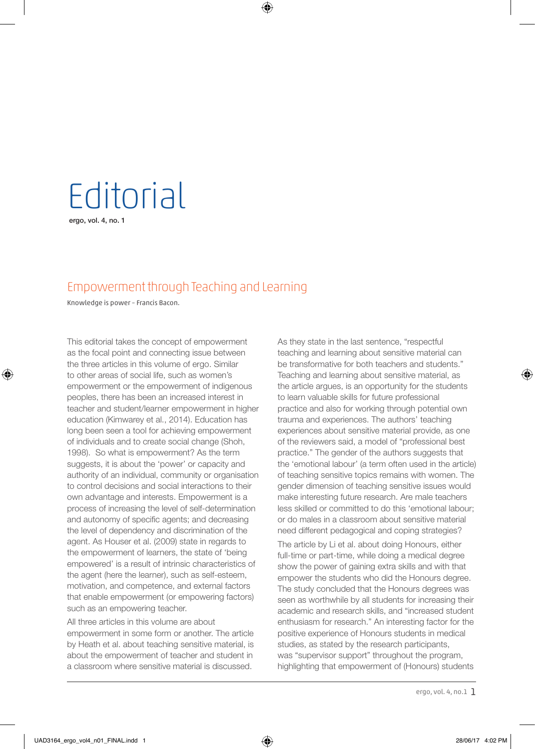## **Editorial**

ergo, vol. 4, no. 1

♠

## Empowerment through Teaching and Learning

⊕

Knowledge is power – Francis Bacon.

This editorial takes the concept of empowerment as the focal point and connecting issue between the three articles in this volume of ergo. Similar to other areas of social life, such as women's empowerment or the empowerment of indigenous peoples, there has been an increased interest in teacher and student/learner empowerment in higher education (Kimwarey et al., 2014). Education has long been seen a tool for achieving empowerment of individuals and to create social change (Shoh, 1998). So what is empowerment? As the term suggests, it is about the 'power' or capacity and authority of an individual, community or organisation to control decisions and social interactions to their own advantage and interests. Empowerment is a process of increasing the level of self-determination and autonomy of specific agents; and decreasing the level of dependency and discrimination of the agent. As Houser et al. (2009) state in regards to the empowerment of learners, the state of 'being empowered' is a result of intrinsic characteristics of the agent (here the learner), such as self-esteem, motivation, and competence, and external factors that enable empowerment (or empowering factors) such as an empowering teacher.

All three articles in this volume are about empowerment in some form or another. The article by Heath et al. about teaching sensitive material, is about the empowerment of teacher and student in a classroom where sensitive material is discussed.

As they state in the last sentence, "respectful teaching and learning about sensitive material can be transformative for both teachers and students." Teaching and learning about sensitive material, as the article argues, is an opportunity for the students to learn valuable skills for future professional practice and also for working through potential own trauma and experiences. The authors' teaching experiences about sensitive material provide, as one of the reviewers said, a model of "professional best practice." The gender of the authors suggests that the 'emotional labour' (a term often used in the article) of teaching sensitive topics remains with women. The gender dimension of teaching sensitive issues would make interesting future research. Are male teachers less skilled or committed to do this 'emotional labour; or do males in a classroom about sensitive material need different pedagogical and coping strategies?

The article by Li et al. about doing Honours, either full-time or part-time, while doing a medical degree show the power of gaining extra skills and with that empower the students who did the Honours degree. The study concluded that the Honours degrees was seen as worthwhile by all students for increasing their academic and research skills, and "increased student enthusiasm for research." An interesting factor for the positive experience of Honours students in medical studies, as stated by the research participants, was "supervisor support" throughout the program, highlighting that empowerment of (Honours) students

ergo, vol. 4, no.1 1

♠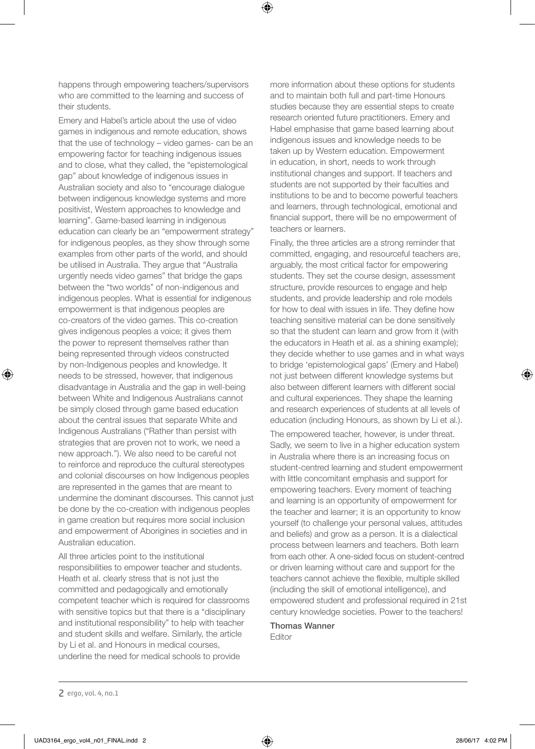happens through empowering teachers/supervisors who are committed to the learning and success of their students.

Emery and Habel's article about the use of video games in indigenous and remote education, shows that the use of technology – video games- can be an empowering factor for teaching indigenous issues and to close, what they called, the "epistemological gap" about knowledge of indigenous issues in Australian society and also to "encourage dialogue between indigenous knowledge systems and more positivist, Western approaches to knowledge and learning". Game-based learning in indigenous education can clearly be an "empowerment strategy" for indigenous peoples, as they show through some examples from other parts of the world, and should be utilised in Australia. They argue that "Australia urgently needs video games" that bridge the gaps between the "two worlds" of non-indigenous and indigenous peoples. What is essential for indigenous empowerment is that indigenous peoples are co-creators of the video games. This co-creation gives indigenous peoples a voice; it gives them the power to represent themselves rather than being represented through videos constructed by non-Indigenous peoples and knowledge. It needs to be stressed, however, that indigenous disadvantage in Australia and the gap in well-being between White and Indigenous Australians cannot be simply closed through game based education about the central issues that separate White and Indigenous Australians ("Rather than persist with strategies that are proven not to work, we need a new approach."). We also need to be careful not to reinforce and reproduce the cultural stereotypes and colonial discourses on how Indigenous peoples are represented in the games that are meant to undermine the dominant discourses. This cannot just be done by the co-creation with indigenous peoples in game creation but requires more social inclusion and empowerment of Aborigines in societies and in Australian education.

All three articles point to the institutional responsibilities to empower teacher and students. Heath et al. clearly stress that is not just the committed and pedagogically and emotionally competent teacher which is required for classrooms with sensitive topics but that there is a "disciplinary and institutional responsibility" to help with teacher and student skills and welfare. Similarly, the article by Li et al. and Honours in medical courses, underline the need for medical schools to provide

more information about these options for students and to maintain both full and part-time Honours studies because they are essential steps to create research oriented future practitioners. Emery and Habel emphasise that game based learning about indigenous issues and knowledge needs to be taken up by Western education. Empowerment in education, in short, needs to work through institutional changes and support. If teachers and students are not supported by their faculties and institutions to be and to become powerful teachers and learners, through technological, emotional and financial support, there will be no empowerment of teachers or learners.

Finally, the three articles are a strong reminder that committed, engaging, and resourceful teachers are, arguably, the most critical factor for empowering students. They set the course design, assessment structure, provide resources to engage and help students, and provide leadership and role models for how to deal with issues in life. They define how teaching sensitive material can be done sensitively so that the student can learn and grow from it (with the educators in Heath et al. as a shining example); they decide whether to use games and in what ways to bridge 'epistemological gaps' (Emery and Habel) not just between different knowledge systems but also between different learners with different social and cultural experiences. They shape the learning and research experiences of students at all levels of education (including Honours, as shown by Li et al.).

The empowered teacher, however, is under threat. Sadly, we seem to live in a higher education system in Australia where there is an increasing focus on student-centred learning and student empowerment with little concomitant emphasis and support for empowering teachers. Every moment of teaching and learning is an opportunity of empowerment for the teacher and learner; it is an opportunity to know yourself (to challenge your personal values, attitudes and beliefs) and grow as a person. It is a dialectical process between learners and teachers. Both learn from each other. A one-sided focus on student-centred or driven learning without care and support for the teachers cannot achieve the flexible, multiple skilled (including the skill of emotional intelligence), and empowered student and professional required in 21st century knowledge societies. Power to the teachers!

Thomas Wanner Editor

⊕

♠